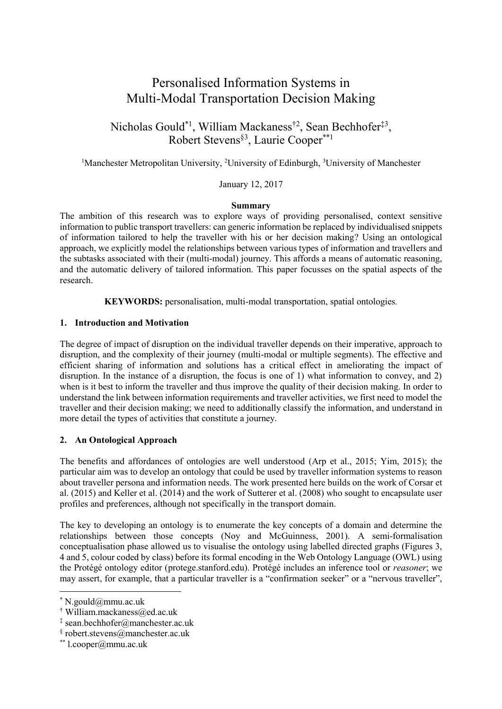# Personalised Information Systems in Multi-Modal Transportation Decision Making

Nicholas Gould<sup>\*1</sup>, William Mackaness<sup>†2</sup>, Sean Bechhofer<sup>‡3</sup>, Robert Stevens§3 , Laurie Cooper\*\*1

<sup>1</sup>Manchester Metropolitan University, <sup>2</sup>University of Edinburgh, <sup>3</sup>University of Manchester

January 12, 2017

#### **Summary**

The ambition of this research was to explore ways of providing personalised, context sensitive information to public transport travellers: can generic information be replaced by individualised snippets of information tailored to help the traveller with his or her decision making? Using an ontological approach, we explicitly model the relationships between various types of information and travellers and the subtasks associated with their (multi-modal) journey. This affords a means of automatic reasoning, and the automatic delivery of tailored information. This paper focusses on the spatial aspects of the research.

**KEYWORDS:** personalisation, multi-modal transportation, spatial ontologies*.*

#### **1. Introduction and Motivation**

The degree of impact of disruption on the individual traveller depends on their imperative, approach to disruption, and the complexity of their journey (multi-modal or multiple segments). The effective and efficient sharing of information and solutions has a critical effect in ameliorating the impact of disruption. In the instance of a disruption, the focus is one of 1) what information to convey, and 2) when is it best to inform the traveller and thus improve the quality of their decision making. In order to understand the link between information requirements and traveller activities, we first need to model the traveller and their decision making; we need to additionally classify the information, and understand in more detail the types of activities that constitute a journey.

# **2. An Ontological Approach**

The benefits and affordances of ontologies are well understood (Arp et al., 2015; Yim, 2015); the particular aim was to develop an ontology that could be used by traveller information systems to reason about traveller persona and information needs. The work presented here builds on the work of Corsar et al. (2015) and Keller et al. (2014) and the work of Sutterer et al. (2008) who sought to encapsulate user profiles and preferences, although not specifically in the transport domain.

The key to developing an ontology is to enumerate the key concepts of a domain and determine the relationships between those concepts (Noy and McGuinness, 2001). A semi-formalisation conceptualisation phase allowed us to visualise the ontology using labelled directed graphs (Figures 3, 4 and 5, colour coded by class) before its formal encoding in the Web Ontology Language (OWL) using the Protégé ontology editor (protege.stanford.edu). Protégé includes an inference tool or *reasoner*; we may assert, for example, that a particular traveller is a "confirmation seeker" or a "nervous traveller",

 $\overline{\phantom{a}}$ 

<sup>\*</sup> N.gould@mmu.ac.uk

<sup>†</sup> William.mackaness@ed.ac.uk

<sup>‡</sup> sean.bechhofer@manchester.ac.uk

<sup>§</sup> robert.stevens@manchester.ac.uk

<sup>\*\*</sup> l.cooper@mmu.ac.uk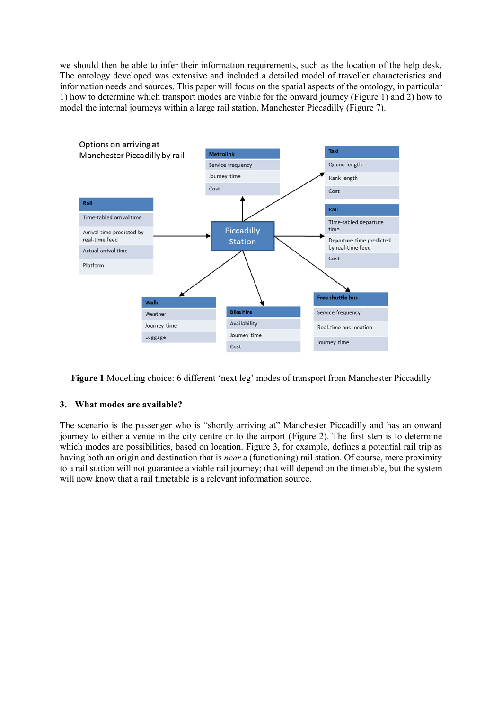we should then be able to infer their information requirements, such as the location of the help desk. The ontology developed was extensive and included a detailed model of traveller characteristics and information needs and sources. This paper will focus on the spatial aspects of the ontology, in particular 1) how to determine which transport modes are viable for the onward journey [\(Figure 1\)](#page-1-0) and 2) how to model the internal journeys within a large rail station, Manchester Piccadilly [\(Figure 7\)](#page-4-0).



<span id="page-1-0"></span>Figure 1 Modelling choice: 6 different 'next leg' modes of transport from Manchester Piccadilly

# **3. What modes are available?**

The scenario is the passenger who is "shortly arriving at" Manchester Piccadilly and has an onward journey to either a venue in the city centre or to the airport [\(Figure 2\)](#page-2-0). The first step is to determine which modes are possibilities, based on location. [Figure 3,](#page-2-1) for example, defines a potential rail trip as having both an origin and destination that is *near* a (functioning) rail station. Of course, mere proximity to a rail station will not guarantee a viable rail journey; that will depend on the timetable, but the system will now know that a rail timetable is a relevant information source.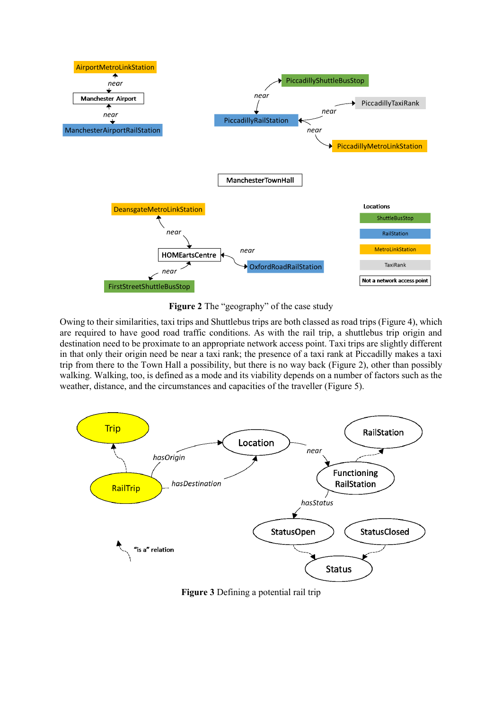

**Figure 2** The "geography" of the case study

<span id="page-2-0"></span>Owing to their similarities, taxi trips and Shuttlebus trips are both classed as road trips [\(Figure 4\)](#page-3-0), which are required to have good road traffic conditions. As with the rail trip, a shuttlebus trip origin and destination need to be proximate to an appropriate network access point. Taxi trips are slightly different in that only their origin need be near a taxi rank; the presence of a taxi rank at Piccadilly makes a taxi trip from there to the Town Hall a possibility, but there is no way back [\(Figure 2\)](#page-2-0), other than possibly walking. Walking, too, is defined as a mode and its viability depends on a number of factors such as the weather, distance, and the circumstances and capacities of the traveller [\(Figure 5\)](#page-3-1).



<span id="page-2-1"></span>**Figure 3** Defining a potential rail trip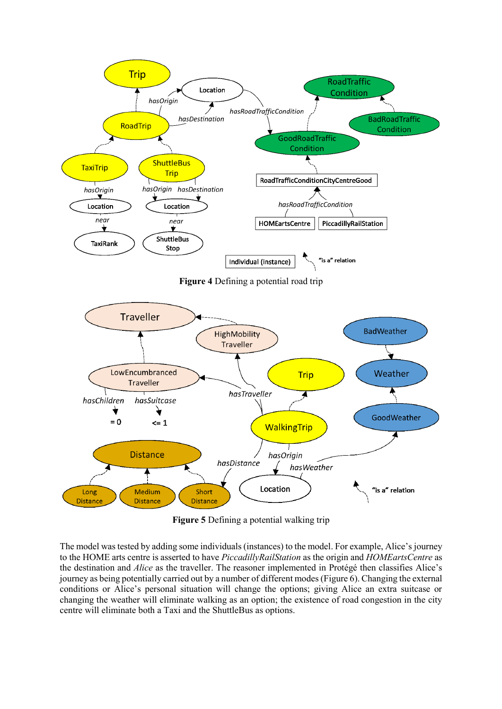<span id="page-3-0"></span>

**Figure 5** Defining a potential walking trip

<span id="page-3-1"></span>The model was tested by adding some individuals (instances) to the model. For example, Alice's journey to the HOME arts centre is asserted to have *PiccadillyRailStation* as the origin and *HOMEartsCentre* as the destination and *Alice* as the traveller. The reasoner implemented in Protégé then classifies Alice's journey as being potentially carried out by a number of different modes[\(Figure 6\)](#page-4-1). Changing the external conditions or Alice's personal situation will change the options; giving Alice an extra suitcase or changing the weather will eliminate walking as an option; the existence of road congestion in the city centre will eliminate both a Taxi and the ShuttleBus as options.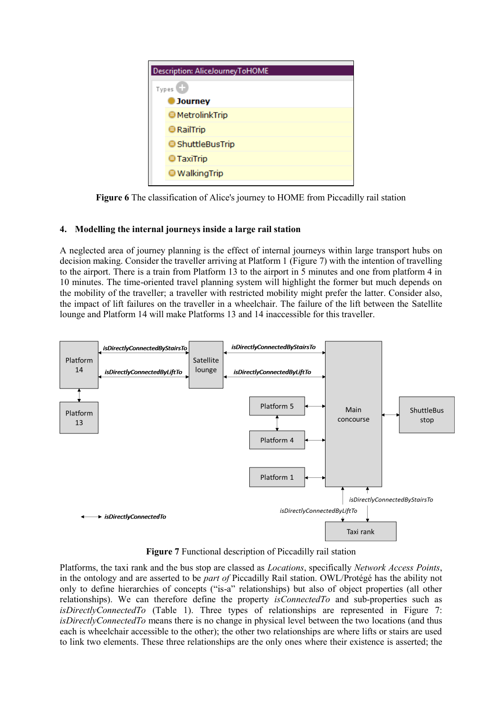| Description: AliceJourneyToHOME |  |  |  |
|---------------------------------|--|--|--|
| Types <sup>C</sup>              |  |  |  |
| <b>D</b> Journey                |  |  |  |
| <b>● MetrolinkTrip</b>          |  |  |  |
| <b>E</b> RailTrip               |  |  |  |
| <b>● ShuttleBusTrip</b>         |  |  |  |
| <b>TaxiTrip</b>                 |  |  |  |
| <b>● WalkingTrip</b>            |  |  |  |
|                                 |  |  |  |

**Figure 6** The classification of Alice's journey to HOME from Piccadilly rail station

# <span id="page-4-1"></span>**4. Modelling the internal journeys inside a large rail station**

A neglected area of journey planning is the effect of internal journeys within large transport hubs on decision making. Consider the traveller arriving at Platform 1 [\(Figure 7\)](#page-4-0) with the intention of travelling to the airport. There is a train from Platform 13 to the airport in 5 minutes and one from platform 4 in 10 minutes. The time-oriented travel planning system will highlight the former but much depends on the mobility of the traveller; a traveller with restricted mobility might prefer the latter. Consider also, the impact of lift failures on the traveller in a wheelchair. The failure of the lift between the Satellite lounge and Platform 14 will make Platforms 13 and 14 inaccessible for this traveller.



**Figure 7** Functional description of Piccadilly rail station

<span id="page-4-0"></span>Platforms, the taxi rank and the bus stop are classed as *Locations*, specifically *Network Access Points*, in the ontology and are asserted to be *part of* Piccadilly Rail station. OWL/Protégé has the ability not only to define hierarchies of concepts ("is-a" relationships) but also of object properties (all other relationships). We can therefore define the property *isConnectedTo* and sub-properties such as *isDirectlyConnectedTo* [\(Table 1\)](#page-5-0). Three types of relationships are represented in [Figure 7:](#page-4-0) *isDirectlyConnectedTo* means there is no change in physical level between the two locations (and thus each is wheelchair accessible to the other); the other two relationships are where lifts or stairs are used to link two elements. These three relationships are the only ones where their existence is asserted; the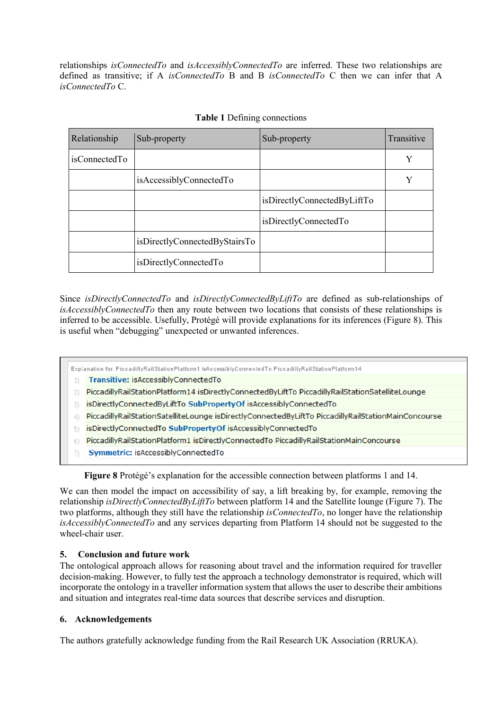relationships *isConnectedTo* and *isAccessiblyConnectedTo* are inferred. These two relationships are defined as transitive; if A *isConnectedTo* B and B *isConnectedTo* C then we can infer that A *isConnectedTo* C.

<span id="page-5-0"></span>

| Relationship  | Sub-property                  | Sub-property                | Transitive |
|---------------|-------------------------------|-----------------------------|------------|
| isConnectedTo |                               |                             | Y          |
|               | isAccessiblyConnectedTo       |                             | Y          |
|               |                               | isDirectlyConnectedByLiftTo |            |
|               |                               | isDirectlyConnectedTo       |            |
|               | isDirectlyConnectedByStairsTo |                             |            |
|               | isDirectlyConnectedTo         |                             |            |

# **Table 1** Defining connections

Since *isDirectlyConnectedTo* and *isDirectlyConnectedByLiftTo* are defined as sub-relationships of *isAccessiblyConnectedTo* then any route between two locations that consists of these relationships is inferred to be accessible. Usefully, Protégé will provide explanations for its inferences [\(Figure 8\)](#page-5-1). This is useful when "debugging" unexpected or unwanted inferences.

#### Explanation for: PiccadillyRailStationPlatform1 isAccessiblyConnectedTo PiccadillyRailStationPlatform14

- 1) Transitive: isAccessiblyConnectedTo
- 2) PiccadillyRailStationPlatform14 isDirectlyConnectedByLiftTo PiccadillyRailStationSatelliteLounge
- 3) isDirectlyConnectedByLiftTo SubPropertyOf isAccessiblyConnectedTo
- 4) PiccadillyRailStationSatelliteLounge isDirectlyConnectedByLiftTo PiccadillyRailStationMainConcourse
- 5) isDirectlyConnectedTo SubPropertyOf isAccessiblyConnectedTo
- 6) PiccadillyRailStationPlatform1 isDirectlyConnectedTo PiccadillyRailStationMainConcourse
- Symmetric: isAccessiblyConnectedTo  $7)$

**Figure 8** Protégé's explanation for the accessible connection between platforms 1 and 14.

<span id="page-5-1"></span>We can then model the impact on accessibility of say, a lift breaking by, for example, removing the relationship *isDirectlyConnectedByLiftTo* between platform 14 and the Satellite lounge [\(Figure 7\)](#page-4-0). The two platforms, although they still have the relationship *isConnectedTo*, no longer have the relationship *isAccessiblyConnectedTo* and any services departing from Platform 14 should not be suggested to the wheel-chair user.

# **5. Conclusion and future work**

The ontological approach allows for reasoning about travel and the information required for traveller decision-making. However, to fully test the approach a technology demonstrator is required, which will incorporate the ontology in a traveller information system that allows the user to describe their ambitions and situation and integrates real-time data sources that describe services and disruption.

# **6. Acknowledgements**

The authors gratefully acknowledge funding from the Rail Research UK Association (RRUKA).